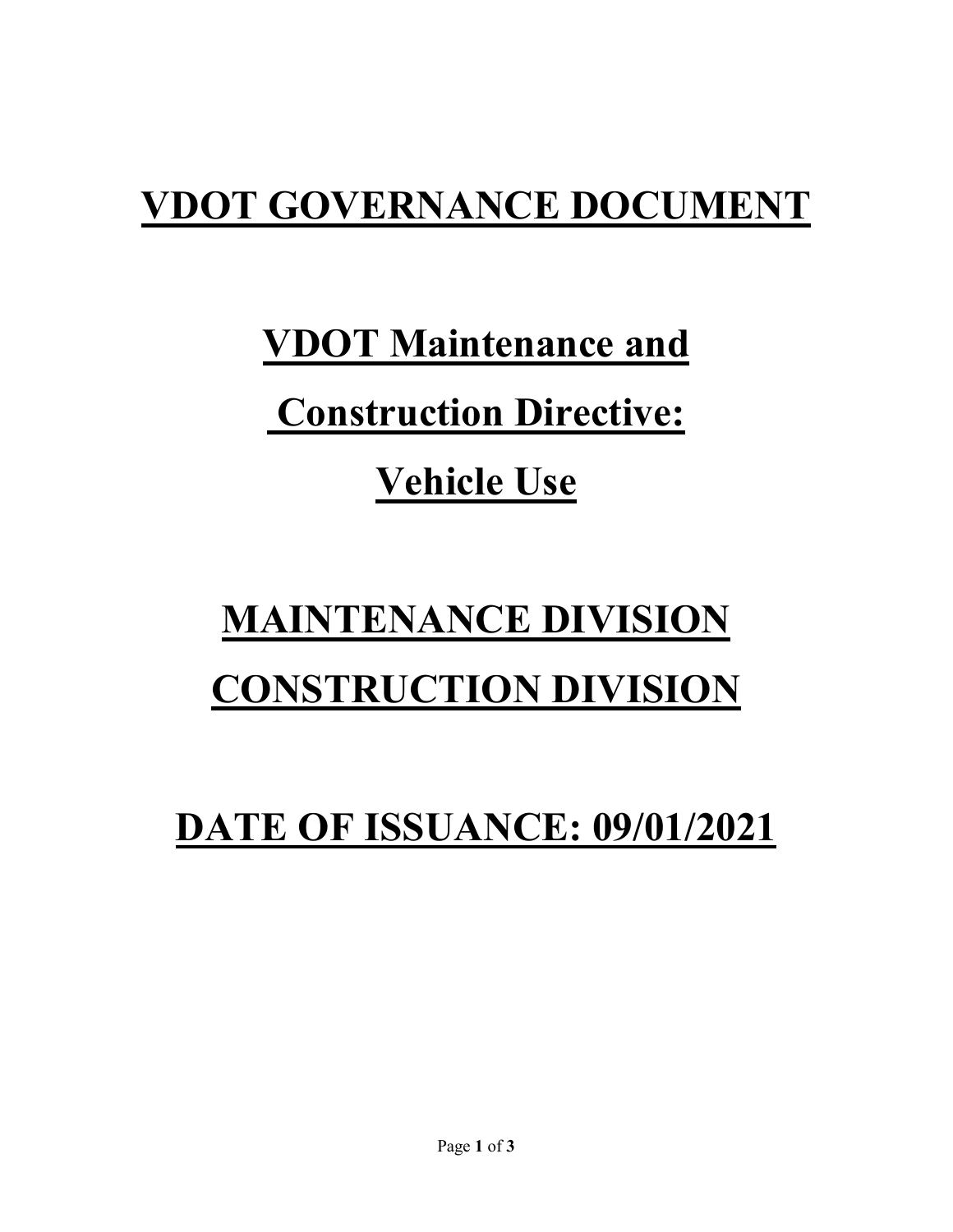## **VDOT GOVERNANCE DOCUMENT**

**VDOT Maintenance and**

## **Construction Directive:**

### **Vehicle Use**

# **MAINTENANCE DIVISION CONSTRUCTION DIVISION**

**DATE OF ISSUANCE: 09/01/2021**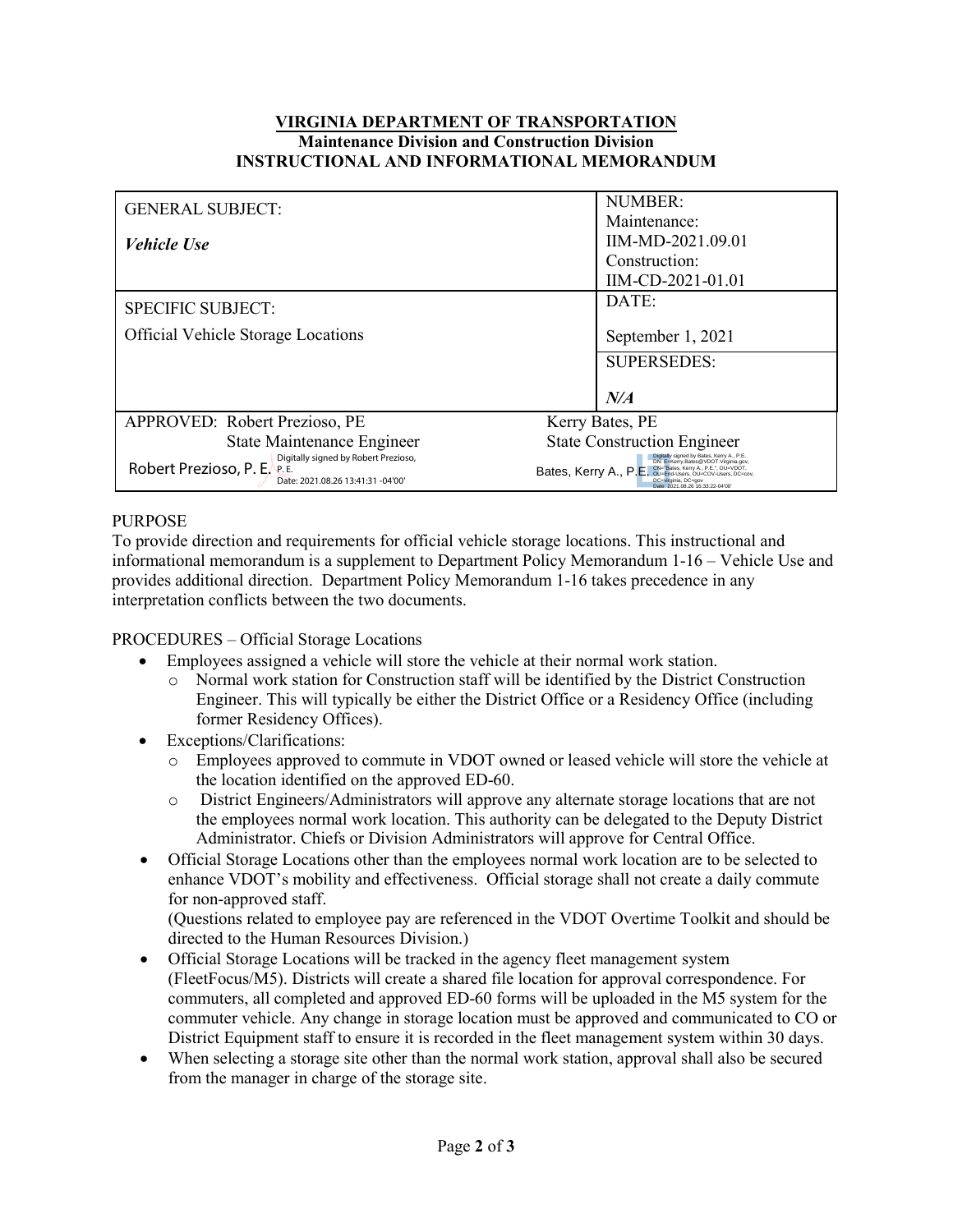#### **VIRGINIA DEPARTMENT OF TRANSPORTATION Maintenance Division and Construction Division INSTRUCTIONAL AND INFORMATIONAL MEMORANDUM**

| <b>GENERAL SUBJECT:</b>                                                                                   | <b>NUMBER:</b><br>Maintenance:                                                                                                                                                     |
|-----------------------------------------------------------------------------------------------------------|------------------------------------------------------------------------------------------------------------------------------------------------------------------------------------|
| <b>Vehicle Use</b>                                                                                        | IIM-MD-2021.09.01                                                                                                                                                                  |
|                                                                                                           | Construction:                                                                                                                                                                      |
|                                                                                                           | IIM-CD-2021-01.01                                                                                                                                                                  |
| <b>SPECIFIC SUBJECT:</b>                                                                                  | DATE:                                                                                                                                                                              |
| <b>Official Vehicle Storage Locations</b>                                                                 | September 1, 2021                                                                                                                                                                  |
|                                                                                                           | <b>SUPERSEDES:</b>                                                                                                                                                                 |
|                                                                                                           | $N\!$                                                                                                                                                                              |
| APPROVED: Robert Prezioso, PE                                                                             | Kerry Bates, PE                                                                                                                                                                    |
| State Maintenance Engineer                                                                                | <b>State Construction Engineer</b>                                                                                                                                                 |
| Digitally signed by Robert Prezioso,<br>Robert Prezioso, P. E. P. E.<br>Date: 2021.08.26 13:41:31 -04'00' | Digitally signed by Bates, Kerry A., P.E.<br>DN: E=Kerry.Bates@VDOT.Virginia.gov,<br>Bates, Kerry A., P.E. CN="Bates, Kerry A., P.E.", OU=VDOT,<br>Date: 2021 08 26 16:33:22-04:00 |

### PURPOSE

To provide direction and requirements for official vehicle storage locations. This instructional and informational memorandum is a supplement to Department Policy Memorandum 1-16 – Vehicle Use and provides additional direction. Department Policy Memorandum 1-16 takes precedence in any interpretation conflicts between the two documents.

PROCEDURES – Official Storage Locations

- Employees assigned a vehicle will store the vehicle at their normal work station.
	- o Normal work station for Construction staff will be identified by the District Construction Engineer. This will typically be either the District Office or a Residency Office (including former Residency Offices).
- Exceptions/Clarifications:
	- o Employees approved to commute in VDOT owned or leased vehicle will store the vehicle at the location identified on the approved ED-60.
	- o District Engineers/Administrators will approve any alternate storage locations that are not the employees normal work location. This authority can be delegated to the Deputy District Administrator. Chiefs or Division Administrators will approve for Central Office.
- Official Storage Locations other than the employees normal work location are to be selected to enhance VDOT's mobility and effectiveness. Official storage shall not create a daily commute for non-approved staff.

(Questions related to employee pay are referenced in the VDOT Overtime Toolkit and should be directed to the Human Resources Division.)

- Official Storage Locations will be tracked in the agency fleet management system (FleetFocus/M5). Districts will create a shared file location for approval correspondence. For commuters, all completed and approved ED-60 forms will be uploaded in the M5 system for the commuter vehicle. Any change in storage location must be approved and communicated to CO or District Equipment staff to ensure it is recorded in the fleet management system within 30 days.
- When selecting a storage site other than the normal work station, approval shall also be secured from the manager in charge of the storage site.